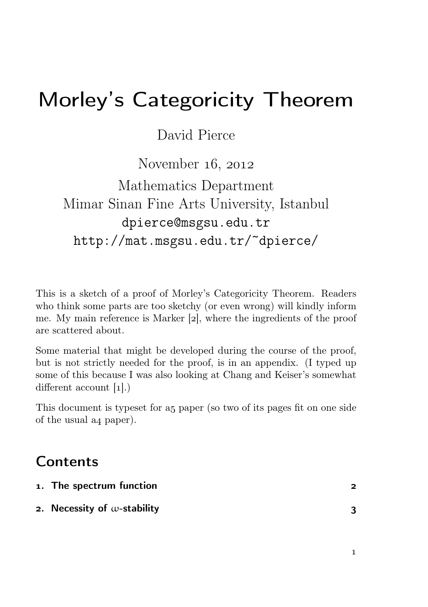# Morley's Categoricity Theorem

David Pierce

## November  $16, 2012$

## Mathematics Department Mimar Sinan Fine Arts University, Istanbul dpierce@msgsu.edu.tr http://mat.msgsu.edu.tr/~dpierce/

This is a sketch of a proof of Morley's Categoricity Theorem. Readers who think some parts are too sketchy (or even wrong) will kindly inform me. My main reference is Marker [2], where the ingredients of the proof are scattered about.

Some material that might be developed during the course of the proof, but is not strictly needed for the proof, is in an appendix. (I typed up some of this because I was also looking at Chang and Keiser's somewhat different account  $[1]$ .)

This document is typeset for a paper (so two of its pages fit on one side of the usual a4 paper).

## Contents

| 1. The spectrum function            |  |
|-------------------------------------|--|
| 2. Necessity of $\omega$ -stability |  |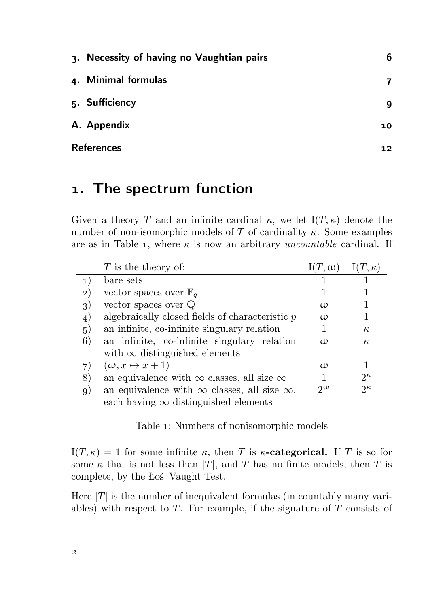| 3. Necessity of having no Vaughtian pairs | 6  |
|-------------------------------------------|----|
| 4. Minimal formulas                       |    |
| 5. Sufficiency                            | 9  |
| A. Appendix                               | 10 |
| <b>References</b>                         | 12 |

## . The spectrum function

Given a theory T and an infinite cardinal  $\kappa$ , we let  $I(T, \kappa)$  denote the number of non-isomorphic models of T of cardinality  $\kappa$ . Some examples are as in Table 1, where  $\kappa$  is now an arbitrary *uncountable* cardinal. If

|              | $T$ is the theory of:                                     | $I(T, \omega)$ | $I(T, \kappa)$ |
|--------------|-----------------------------------------------------------|----------------|----------------|
| 1)           | bare sets                                                 |                |                |
| $\mathbf{2}$ | vector spaces over $\mathbb{F}_q$                         |                |                |
| 3)           | vector spaces over $\mathbb Q$                            | $\omega$       |                |
| 4)           | algebraically closed fields of characteristic $p$         | $\omega$       |                |
| (5)          | an infinite, co-infinite singulary relation               |                | $\kappa$       |
| 6)           | an infinite, co-infinite singulary relation               | $\omega$       | $\kappa$       |
|              | with $\infty$ distinguished elements                      |                |                |
| 7)           | $(\omega, x \mapsto x+1)$                                 | $\omega$       |                |
| 8)           | an equivalence with $\infty$ classes, all size $\infty$   |                | $2^{\kappa}$   |
| 9)           | an equivalence with $\infty$ classes, all size $\infty$ , | $\gamma\omega$ | $2\kappa$      |
|              | each having $\infty$ distinguished elements               |                |                |

Table 1: Numbers of nonisomorphic models

I(T,  $\kappa$ ) = 1 for some infinite  $\kappa$ , then T is  $\kappa$ -categorical. If T is so for some  $\kappa$  that is not less than |T|, and T has no finite models, then T is complete, by the Łoś–Vaught Test.

Here  $|T|$  is the number of inequivalent formulas (in countably many variables) with respect to  $T$ . For example, if the signature of  $T$  consists of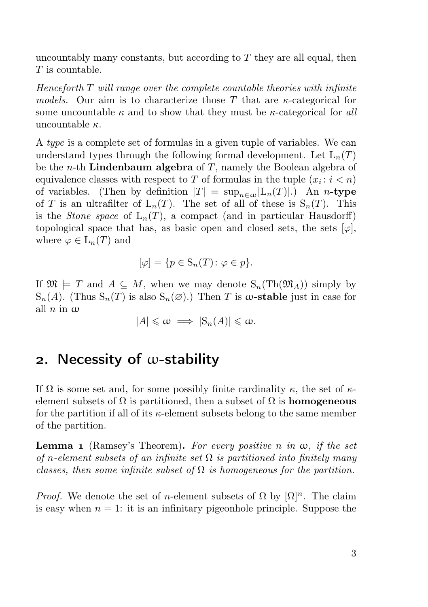uncountably many constants, but according to  $T$  they are all equal, then  $T$  is countable.

 $Henceforth T will range over the complete countable theories with infinite$ models. Our aim is to characterize those T that are  $\kappa$ -categorical for some uncountable  $\kappa$  and to show that they must be  $\kappa$ -categorical for all uncountable  $\kappa$ .

A type is a complete set of formulas in a given tuple of variables. We can understand types through the following formal development. Let  $L_n(T)$ be the *n*-th **Lindenbaum algebra** of T, namely the Boolean algebra of equivalence classes with respect to T of formulas in the tuple  $(x_i : i < n)$ of variables. (Then by definition  $|T| = \sup_{n \in \omega} |L_n(T)|$ .) An *n*-type of T is an ultrafilter of  $L_n(T)$ . The set of all of these is  $S_n(T)$ . This is the *Stone space* of  $L_n(T)$ , a compact (and in particular Hausdorff) topological space that has, as basic open and closed sets, the sets  $[\varphi]$ , where  $\varphi \in L_n(T)$  and

$$
[\varphi] = \{ p \in \mathcal{S}_n(T) \colon \varphi \in p \}.
$$

If  $\mathfrak{M} \models T$  and  $A \subseteq M$ , when we may denote  $S_n(Th(\mathfrak{M}_A))$  simply by  $S_n(A)$ . (Thus  $S_n(T)$  is also  $S_n(\emptyset)$ .) Then T is  $\omega$ -stable just in case for all  $n$  in  $\omega$ 

$$
|A| \leq \omega \implies |S_n(A)| \leq \omega.
$$

## 2. Necessity of  $\omega$ -stability

If  $\Omega$  is some set and, for some possibly finite cardinality  $\kappa$ , the set of  $\kappa$ element subsets of  $\Omega$  is partitioned, then a subset of  $\Omega$  is **homogeneous** for the partition if all of its  $\kappa$ -element subsets belong to the same member of the partition.

**Lemma 1** (Ramsey's Theorem). For every positive n in  $\omega$ , if the set of n-element subsets of an infinite set  $\Omega$  is partitioned into finitely many classes, then some infinite subset of  $\Omega$  is homogeneous for the partition.

*Proof.* We denote the set of n-element subsets of  $\Omega$  by  $[\Omega]^n$ . The claim is easy when  $n = 1$ : it is an infinitary pigeonhole principle. Suppose the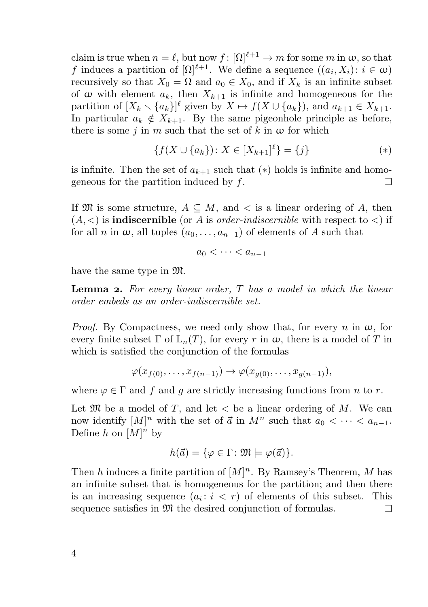claim is true when  $n = \ell$ , but now  $f : [\Omega]^{\ell+1} \to m$  for some m in  $\omega$ , so that f induces a partition of  $[\Omega]^{\ell+1}$ . We define a sequence  $((a_i, X_i): i \in \omega)$ recursively so that  $X_0 = \Omega$  and  $a_0 \in X_0$ , and if  $X_k$  is an infinite subset of  $\omega$  with element  $a_k$ , then  $X_{k+1}$  is infinite and homogeneous for the partition of  $[X_k \setminus \{a_k\}]^{\ell}$  given by  $X \mapsto f(X \cup \{a_k\})$ , and  $a_{k+1} \in X_{k+1}$ . In particular  $a_k \notin X_{k+1}$ . By the same pigeonhole principle as before, there is some j in m such that the set of k in  $\omega$  for which

$$
\{f(X \cup \{a_k\}) : X \in [X_{k+1}]^\ell\} = \{j\} \tag{*}
$$

is infinite. Then the set of  $a_{k+1}$  such that  $(*)$  holds is infinite and homogeneous for the partition induced by  $f$ . П

If  $\mathfrak{M}$  is some structure,  $A \subseteq M$ , and  $\lt$  is a linear ordering of A, then  $(A, \leq)$  is **indiscernible** (or A is *order-indiscernible* with respect to  $\leq$ ) if for all n in  $\omega$ , all tuples  $(a_0, \ldots, a_{n-1})$  of elements of A such that

$$
a_0 < \cdots < a_{n-1}
$$

have the same type in M.

**Lemma 2.** For every linear order,  $T$  has a model in which the linear order embeds as an order-indiscernible set.

*Proof.* By Compactness, we need only show that, for every n in  $\omega$ , for every finite subset  $\Gamma$  of  $\mathcal{L}_n(T)$ , for every r in  $\omega$ , there is a model of T in which is satisfied the conjunction of the formulas

$$
\varphi(x_{f(0)},\ldots,x_{f(n-1)})\to\varphi(x_{g(0)},\ldots,x_{g(n-1)}),
$$

where  $\varphi \in \Gamma$  and f and g are strictly increasing functions from n to r.

Let  $\mathfrak{M}$  be a model of T, and let  $\lt$  be a linear ordering of M. We can now identify  $[M]^n$  with the set of  $\vec{a}$  in  $M^n$  such that  $a_0 < \cdots < a_{n-1}$ . Define h on  $[M]^n$  by

$$
h(\vec{a}) = \{ \varphi \in \Gamma : \mathfrak{M} \models \varphi(\vec{a}) \}.
$$

Then h induces a finite partition of  $[M]^n$ . By Ramsey's Theorem, M has an infinite subset that is homogeneous for the partition; and then there is an increasing sequence  $(a_i : i < r)$  of elements of this subset. This sequence satisfies in  $\mathfrak{M}$  the desired conjunction of formulas. П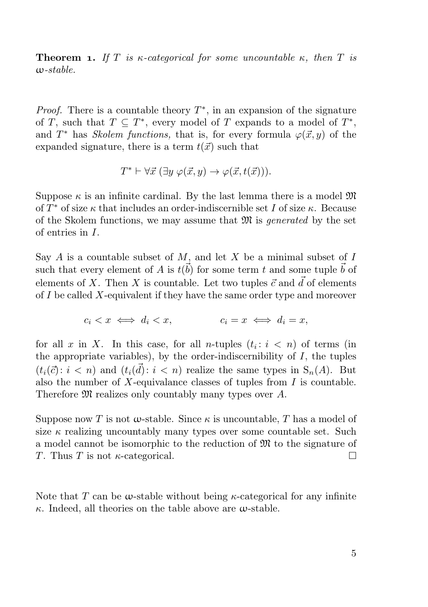**Theorem 1.** If T is  $\kappa$ -categorical for some uncountable  $\kappa$ , then T is  $w<sub>-</sub>stable$ 

*Proof.* There is a countable theory  $T^*$ , in an expansion of the signature of T, such that  $T \subseteq T^*$ , every model of T expands to a model of  $T^*$ , and  $T^*$  has *Skolem functions*, that is, for every formula  $\varphi(\vec{x}, y)$  of the expanded signature, there is a term  $t(\vec{x})$  such that

$$
T^* \vdash \forall \vec{x} \ (\exists y \ \varphi(\vec{x}, y) \rightarrow \varphi(\vec{x}, t(\vec{x}))).
$$

Suppose  $\kappa$  is an infinite cardinal. By the last lemma there is a model  $\mathfrak{M}$ of  $T^*$  of size  $\kappa$  that includes an order-indiscernible set I of size  $\kappa$ . Because of the Skolem functions, we may assume that  $\mathfrak{M}$  is *generated* by the set of entries in I.

Say  $A$  is a countable subset of  $M$ , and let  $X$  be a minimal subset of  $I$ such that every element of A is  $t(\vec{b})$  for some term t and some tuple  $\vec{b}$  of elements of X. Then X is countable. Let two tuples  $\vec{c}$  and  $\vec{d}$  of elements of  $I$  be called  $X$ -equivalent if they have the same order type and moreover

$$
c_i < x \iff d_i < x, \qquad c_i = x \iff d_i = x,
$$

for all x in X. In this case, for all n-tuples  $(t_i: i < n)$  of terms (in the appropriate variables), by the order-indiscernibility of  $I$ , the tuples  $(t_i(\vec{c}) : i < n)$  and  $(t_i(\vec{d}) : i < n)$  realize the same types in  $S_n(A)$ . But also the number of  $X$ -equivalance classes of tuples from  $I$  is countable. Therefore  $\mathfrak M$  realizes only countably many types over A.

Suppose now T is not  $\omega$ -stable. Since  $\kappa$  is uncountable, T has a model of size  $\kappa$  realizing uncountably many types over some countable set. Such a model cannot be isomorphic to the reduction of  $\mathfrak{M}$  to the signature of T. Thus T is not  $\kappa$ -categorical.  $\Box$ 

Note that T can be  $\omega$ -stable without being  $\kappa$ -categorical for any infinite  $\kappa$ . Indeed, all theories on the table above are  $\omega$ -stable.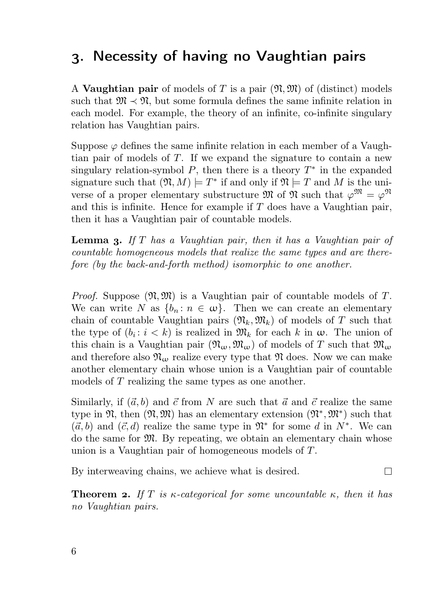## . Necessity of having no Vaughtian pairs

A Vaughtian pair of models of T is a pair  $(\mathfrak{N},\mathfrak{M})$  of (distinct) models such that  $\mathfrak{M} \prec \mathfrak{N}$ , but some formula defines the same infinite relation in each model. For example, the theory of an infinite, co-infinite singulary relation has Vaughtian pairs.

Suppose  $\varphi$  defines the same infinite relation in each member of a Vaughtian pair of models of T. If we expand the signature to contain a new singulary relation-symbol  $P$ , then there is a theory  $T^*$  in the expanded signature such that  $(\mathfrak{N}, M) \models T^*$  if and only if  $\mathfrak{N} \models T$  and M is the universe of a proper elementary substructure M of  $\mathfrak{N}$  such that  $\varphi^{\mathfrak{M}} = \varphi^{\mathfrak{N}}$ and this is infinite. Hence for example if  $T$  does have a Vaughtian pair, then it has a Vaughtian pair of countable models.

**Lemma 3.** If  $T$  has a Vaughtian pair, then it has a Vaughtian pair of countable homogeneous models that realize the same types and are therefore (by the back-and-forth method) isomorphic to one another.

*Proof.* Suppose  $(\mathfrak{N}, \mathfrak{M})$  is a Vaughtian pair of countable models of T. We can write N as  $\{b_n : n \in \omega\}$ . Then we can create an elementary chain of countable Vaughtian pairs  $(\mathfrak{N}_k,\mathfrak{M}_k)$  of models of T such that the type of  $(b_i: i < k)$  is realized in  $\mathfrak{M}_k$  for each k in  $\omega$ . The union of this chain is a Vaughtian pair  $(\mathfrak{N}_{\omega},\mathfrak{M}_{\omega})$  of models of T such that  $\mathfrak{M}_{\omega}$ and therefore also  $\mathfrak{N}_{\omega}$  realize every type that  $\mathfrak{N}$  does. Now we can make another elementary chain whose union is a Vaughtian pair of countable models of T realizing the same types as one another.

Similarly, if  $(\vec{a}, b)$  and  $\vec{c}$  from N are such that  $\vec{a}$  and  $\vec{c}$  realize the same type in  $\mathfrak{N}$ , then  $(\mathfrak{N}, \mathfrak{M})$  has an elementary extension  $(\mathfrak{N}^*, \mathfrak{M}^*)$  such that  $(\vec{a}, b)$  and  $(\vec{c}, d)$  realize the same type in  $\mathfrak{N}^*$  for some d in  $N^*$ . We can do the same for  $\mathfrak{M}$ . By repeating, we obtain an elementary chain whose union is a Vaughtian pair of homogeneous models of T.

By interweaving chains, we achieve what is desired.  $\Box$ 

**Theorem 2.** If T is  $\kappa$ -categorical for some uncountable  $\kappa$ , then it has no Vaughtian pairs.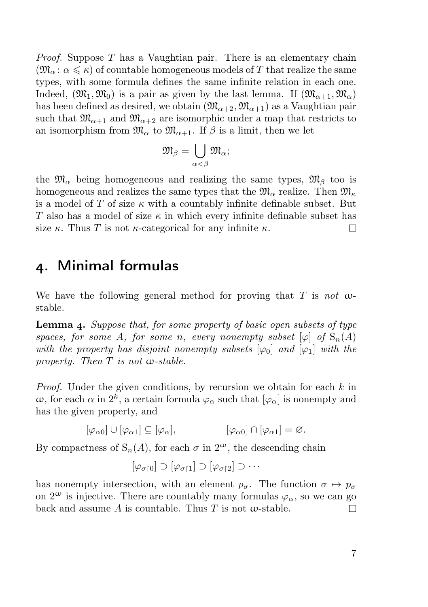*Proof.* Suppose T has a Vaughtian pair. There is an elementary chain  $(\mathfrak{M}_{\alpha} : \alpha \leq \kappa)$  of countable homogeneous models of T that realize the same types, with some formula defines the same infinite relation in each one. Indeed,  $(\mathfrak{M}_1, \mathfrak{M}_0)$  is a pair as given by the last lemma. If  $(\mathfrak{M}_{\alpha+1}, \mathfrak{M}_{\alpha})$ has been defined as desired, we obtain  $(\mathfrak{M}_{\alpha+2}, \mathfrak{M}_{\alpha+1})$  as a Vaughtian pair such that  $\mathfrak{M}_{\alpha+1}$  and  $\mathfrak{M}_{\alpha+2}$  are isomorphic under a map that restricts to an isomorphism from  $\mathfrak{M}_{\alpha}$  to  $\mathfrak{M}_{\alpha+1}$ . If  $\beta$  is a limit, then we let

$$
\mathfrak{M}_\beta=\bigcup_{\alpha<\beta}\mathfrak{M}_\alpha;
$$

the  $\mathfrak{M}_{\alpha}$  being homogeneous and realizing the same types,  $\mathfrak{M}_{\beta}$  too is homogeneous and realizes the same types that the  $\mathfrak{M}_{\alpha}$  realize. Then  $\mathfrak{M}_{\kappa}$ is a model of T of size  $\kappa$  with a countably infinite definable subset. But T also has a model of size  $\kappa$  in which every infinite definable subset has size  $\kappa$ . Thus T is not  $\kappa$ -categorical for any infinite  $\kappa$ .  $\Box$ 

#### . Minimal formulas

We have the following general method for proving that T is not  $\omega$ stable.

**Lemma 4.** Suppose that, for some property of basic open subsets of type spaces, for some A, for some n, every nonempty subset  $[\varphi]$  of  $S_n(A)$ with the property has disjoint nonempty subsets  $[\varphi_0]$  and  $[\varphi_1]$  with the property. Then  $T$  is not  $\omega$ -stable.

*Proof.* Under the given conditions, by recursion we obtain for each  $k$  in  $\omega$ , for each  $\alpha$  in  $2^k$ , a certain formula  $\varphi_{\alpha}$  such that  $[\varphi_{\alpha}]$  is nonempty and has the given property, and

$$
[\varphi_{\alpha 0}] \cup [\varphi_{\alpha 1}] \subseteq [\varphi_{\alpha}], \qquad [\varphi_{\alpha 0}] \cap [\varphi_{\alpha 1}] = \varnothing.
$$

By compactness of  $S_n(A)$ , for each  $\sigma$  in  $2^{\omega}$ , the descending chain

$$
[\varphi_{\sigma\restriction 0}]\supset [\varphi_{\sigma\restriction 1}]\supset [\varphi_{\sigma\restriction 2}]\supset \cdots
$$

has nonempty intersection, with an element  $p_{\sigma}$ . The function  $\sigma \mapsto p_{\sigma}$ on  $2^{\omega}$  is injective. There are countably many formulas  $\varphi_{\alpha}$ , so we can go back and assume A is countable. Thus T is not  $\omega$ -stable. П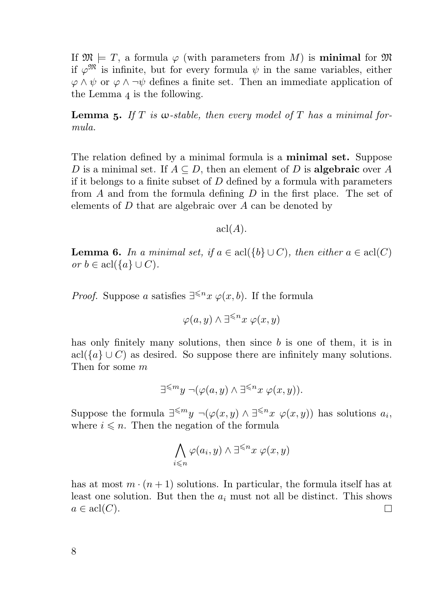If  $\mathfrak{M} \models T$ , a formula  $\varphi$  (with parameters from M) is **minimal** for  $\mathfrak{M}$ if  $\varphi^{\mathfrak{M}}$  is infinite, but for every formula  $\psi$  in the same variables, either  $\varphi \wedge \psi$  or  $\varphi \wedge \neg \psi$  defines a finite set. Then an immediate application of the Lemma  $_4$  is the following.

**Lemma 5.** If T is  $\omega$ -stable, then every model of T has a minimal formula.

The relation defined by a minimal formula is a minimal set. Suppose D is a minimal set. If  $A \subseteq D$ , then an element of D is **algebraic** over A if it belongs to a finite subset of  $D$  defined by a formula with parameters from  $A$  and from the formula defining  $D$  in the first place. The set of elements of D that are algebraic over A can be denoted by

 $\operatorname{acl}(A)$ .

**Lemma 6.** In a minimal set, if  $a \in \text{acl}(\{b\} \cup C)$ , then either  $a \in \text{acl}(C)$ or  $b \in \operatorname{acl}(\{a\} \cup C)$ .

*Proof.* Suppose a satisfies  $\exists^{\leq n} x \varphi(x, b)$ . If the formula

 $\varphi(a, y) \wedge \exists^{\leqslant n} x \varphi(x, y)$ 

has only finitely many solutions, then since b is one of them, it is in acl( ${a} \cup C$ ) as desired. So suppose there are infinitely many solutions. Then for some m

$$
\exists^{\leqslant m} y \neg (\varphi(a, y) \land \exists^{\leqslant n} x \ \varphi(x, y)).
$$

Suppose the formula  $\exists^{\leq m} y \ \neg(\varphi(x,y) \land \exists^{\leq n} x \ \varphi(x,y))$  has solutions  $a_i$ , where  $i \leq n$ . Then the negation of the formula

$$
\bigwedge_{i\leqslant n}\varphi(a_i,y)\wedge \exists^{\leqslant n}x\ \varphi(x,y)
$$

has at most  $m \cdot (n+1)$  solutions. In particular, the formula itself has at least one solution. But then the  $a_i$  must not all be distinct. This shows  $a \in \text{acl}(C)$ .  $\Box$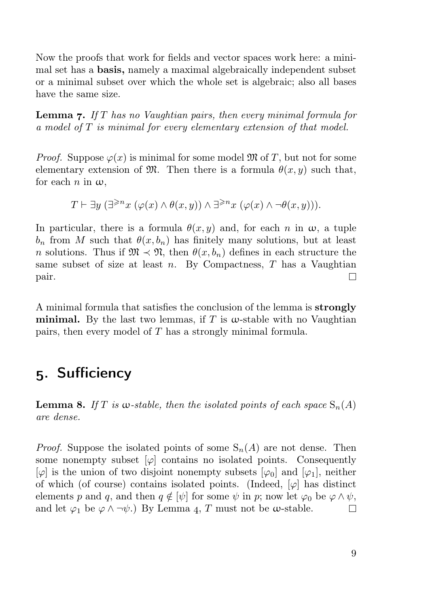Now the proofs that work for fields and vector spaces work here: a minimal set has a basis, namely a maximal algebraically independent subset or a minimal subset over which the whole set is algebraic; also all bases have the same size.

**Lemma 7.** If T has no Vaughtian pairs, then every minimal formula for a model of T is minimal for every elementary extension of that model.

*Proof.* Suppose  $\varphi(x)$  is minimal for some model M of T, but not for some elementary extension of  $\mathfrak{M}$ . Then there is a formula  $\theta(x, y)$  such that, for each  $n$  in  $\omega$ .

$$
T \vdash \exists y \ (\exists^{\geq n} x \ (\varphi(x) \land \theta(x, y)) \land \exists^{\geq n} x \ (\varphi(x) \land \neg \theta(x, y))).
$$

In particular, there is a formula  $\theta(x, y)$  and, for each n in  $\omega$ , a tuple  $b_n$  from M such that  $\theta(x, b_n)$  has finitely many solutions, but at least n solutions. Thus if  $\mathfrak{M} \prec \mathfrak{N}$ , then  $\theta(x, b_n)$  defines in each structure the same subset of size at least  $n$ . By Compactness,  $T$  has a Vaughtian pair.  $\Box$ 

A minimal formula that satisfies the conclusion of the lemma is strongly minimal. By the last two lemmas, if T is  $\omega$ -stable with no Vaughtian pairs, then every model of T has a strongly minimal formula.

## . Sufficiency

**Lemma 8.** If T is w-stable, then the isolated points of each space  $S_n(A)$ are dense.

*Proof.* Suppose the isolated points of some  $S_n(A)$  are not dense. Then some nonempty subset  $[\varphi]$  contains no isolated points. Consequently  $[\varphi]$  is the union of two disjoint nonempty subsets  $[\varphi_0]$  and  $[\varphi_1]$ , neither of which (of course) contains isolated points. (Indeed,  $[\varphi]$  has distinct elements p and q, and then  $q \notin [\psi]$  for some  $\psi$  in p; now let  $\varphi_0$  be  $\varphi \wedge \psi$ , and let  $\varphi_1$  be  $\varphi \wedge \neg \psi$ .) By Lemma 4, T must not be  $\omega$ -stable.  $\Box$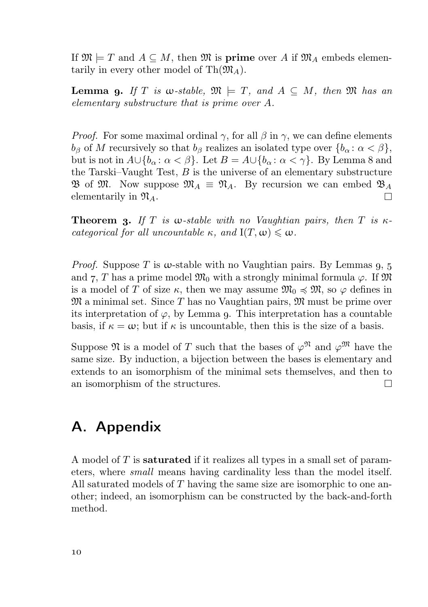If  $\mathfrak{M} \models T$  and  $A \subseteq M$ , then  $\mathfrak{M}$  is **prime** over A if  $\mathfrak{M}_A$  embeds elementarily in every other model of  $\text{Th}(\mathfrak{M}_A)$ .

**Lemma 9.** If T is w-stable,  $\mathfrak{M} \models T$ , and  $A \subseteq M$ , then  $\mathfrak{M}$  has an elementary substructure that is prime over A.

*Proof.* For some maximal ordinal  $\gamma$ , for all  $\beta$  in  $\gamma$ , we can define elements  $b_{\beta}$  of M recursively so that  $b_{\beta}$  realizes an isolated type over  $\{b_{\alpha}: \alpha < \beta\},\$ but is not in  $A \cup \{b_\alpha : \alpha < \beta\}$ . Let  $B = A \cup \{b_\alpha : \alpha < \gamma\}$ . By Lemma 8 and the Tarski–Vaught Test,  $B$  is the universe of an elementary substructure  $\mathfrak{B}$  of  $\mathfrak{M}$ . Now suppose  $\mathfrak{M}_A \equiv \mathfrak{N}_A$ . By recursion we can embed  $\mathfrak{B}_A$ elementarily in  $\mathfrak{N}_A$ .  $\Box$ 

**Theorem 3.** If T is  $\omega$ -stable with no Vaughtian pairs, then T is  $\kappa$ categorical for all uncountable  $\kappa$ , and  $I(T, \omega) \leq \omega$ .

*Proof.* Suppose T is  $\omega$ -stable with no Vaughtian pairs. By Lemmas  $q, 5$ and 7, T has a prime model  $\mathfrak{M}_0$  with a strongly minimal formula  $\varphi$ . If  $\mathfrak{M}$ is a model of T of size  $\kappa$ , then we may assume  $\mathfrak{M}_0 \preccurlyeq \mathfrak{M}$ , so  $\varphi$  defines in  $\mathfrak{M}$  a minimal set. Since T has no Vaughtian pairs,  $\mathfrak{M}$  must be prime over its interpretation of  $\varphi$ , by Lemma q. This interpretation has a countable basis, if  $\kappa = \omega$ ; but if  $\kappa$  is uncountable, then this is the size of a basis.

Suppose  $\mathfrak N$  is a model of T such that the bases of  $\varphi^{\mathfrak N}$  and  $\varphi^{\mathfrak M}$  have the same size. By induction, a bijection between the bases is elementary and extends to an isomorphism of the minimal sets themselves, and then to an isomorphism of the structures.  $\Box$ 

## A. Appendix

A model of  $T$  is **saturated** if it realizes all types in a small set of parameters, where small means having cardinality less than the model itself. All saturated models of T having the same size are isomorphic to one another; indeed, an isomorphism can be constructed by the back-and-forth method.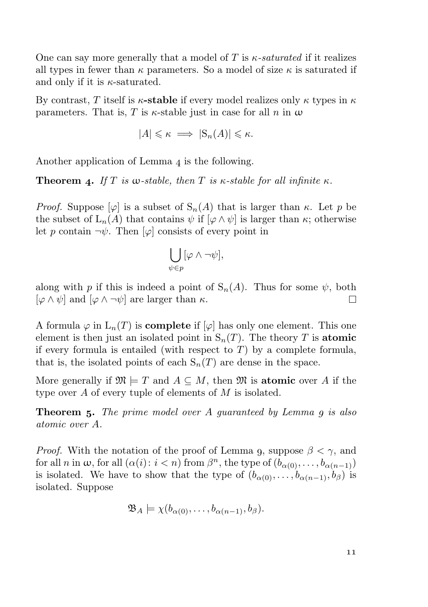One can say more generally that a model of T is  $\kappa$ -saturated if it realizes all types in fewer than  $\kappa$  parameters. So a model of size  $\kappa$  is saturated if and only if it is  $\kappa$ -saturated.

By contrast, T itself is  $\kappa$ -stable if every model realizes only  $\kappa$  types in  $\kappa$ parameters. That is, T is  $\kappa$ -stable just in case for all n in  $\omega$ 

$$
|A| \leq \kappa \implies |\mathcal{S}_n(A)| \leq \kappa.
$$

Another application of Lemma  $\ddot{a}$  is the following.

**Theorem 4.** If T is w-stable, then T is  $\kappa$ -stable for all infinite  $\kappa$ .

*Proof.* Suppose  $[\varphi]$  is a subset of  $S_n(A)$  that is larger than  $\kappa$ . Let p be the subset of  $L_n(A)$  that contains  $\psi$  if  $[\varphi \wedge \psi]$  is larger than  $\kappa$ ; otherwise let p contain  $\neg \psi$ . Then  $[\varphi]$  consists of every point in

$$
\bigcup_{\psi\in p} [\varphi\wedge\neg\psi],
$$

along with p if this is indeed a point of  $S_n(A)$ . Thus for some  $\psi$ , both  $[\varphi \wedge \psi]$  and  $[\varphi \wedge \neg \psi]$  are larger than  $\kappa$ . П.

A formula  $\varphi$  in  $L_n(T)$  is **complete** if  $[\varphi]$  has only one element. This one element is then just an isolated point in  $S_n(T)$ . The theory T is atomic if every formula is entailed (with respect to  $T$ ) by a complete formula, that is, the isolated points of each  $S_n(T)$  are dense in the space.

More generally if  $\mathfrak{M} \models T$  and  $A \subseteq M$ , then  $\mathfrak{M}$  is atomic over A if the type over A of every tuple of elements of M is isolated.

**Theorem 5.** The prime model over  $A$  quaranteed by Lemma  $q$  is also atomic over A.

*Proof.* With the notation of the proof of Lemma 9, suppose  $\beta < \gamma$ , and for all *n* in  $\omega$ , for all  $(\alpha(i) : i < n)$  from  $\beta<sup>n</sup>$ , the type of  $(b_{\alpha(0)}, \ldots, b_{\alpha(n-1)})$ is isolated. We have to show that the type of  $(b_{\alpha(0)}, \ldots, b_{\alpha(n-1)}, b_{\beta})$  is isolated. Suppose

$$
\mathfrak{B}_A \models \chi(b_{\alpha(0)}, \dots, b_{\alpha(n-1)}, b_{\beta}).
$$